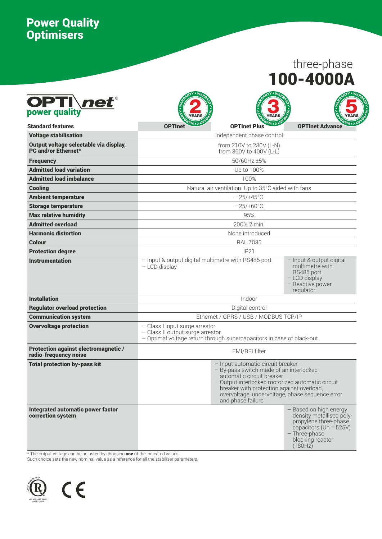# Power Quality Optimisers

# 100-4000A three-phase

A

N

TY

«

 $\tilde{\mathbf{x}}$ 

A

R

R

| <b>OPTI</b> net <sup>®</sup>                                         |                                                                                                                                                                                                                                                                                    |                                                     |                                                                                                                                                       |  |  |  |  |
|----------------------------------------------------------------------|------------------------------------------------------------------------------------------------------------------------------------------------------------------------------------------------------------------------------------------------------------------------------------|-----------------------------------------------------|-------------------------------------------------------------------------------------------------------------------------------------------------------|--|--|--|--|
| <b>Standard features</b>                                             | <b>OPTInet</b>                                                                                                                                                                                                                                                                     | <b>OPTInet Plus</b>                                 | <b>OPTInet Advance</b>                                                                                                                                |  |  |  |  |
| <b>Voltage stabilisation</b>                                         |                                                                                                                                                                                                                                                                                    | Independent phase control                           |                                                                                                                                                       |  |  |  |  |
| Output voltage selectable via display,<br><b>PC and/or Ethernet*</b> |                                                                                                                                                                                                                                                                                    | from 210V to 230V (L-N)<br>from 360V to 400V (L-L)  |                                                                                                                                                       |  |  |  |  |
| <b>Frequency</b>                                                     |                                                                                                                                                                                                                                                                                    | 50/60Hz ±5%                                         |                                                                                                                                                       |  |  |  |  |
| <b>Admitted load variation</b>                                       |                                                                                                                                                                                                                                                                                    | Up to 100%                                          |                                                                                                                                                       |  |  |  |  |
| <b>Admitted load imbalance</b>                                       |                                                                                                                                                                                                                                                                                    | 100%                                                |                                                                                                                                                       |  |  |  |  |
| <b>Cooling</b>                                                       |                                                                                                                                                                                                                                                                                    | Natural air ventilation. Up to 35°C aided with fans |                                                                                                                                                       |  |  |  |  |
| <b>Ambient temperature</b>                                           |                                                                                                                                                                                                                                                                                    | $-25/+45^{\circ}$ C                                 |                                                                                                                                                       |  |  |  |  |
| <b>Storage temperature</b>                                           |                                                                                                                                                                                                                                                                                    | $-25/+60°C$                                         |                                                                                                                                                       |  |  |  |  |
| <b>Max relative humidity</b>                                         |                                                                                                                                                                                                                                                                                    | 95%                                                 |                                                                                                                                                       |  |  |  |  |
| <b>Admitted overload</b>                                             |                                                                                                                                                                                                                                                                                    | 200% 2 min.                                         |                                                                                                                                                       |  |  |  |  |
| <b>Harmonic distortion</b>                                           |                                                                                                                                                                                                                                                                                    | None introduced                                     |                                                                                                                                                       |  |  |  |  |
| Colour                                                               | <b>RAL 7035</b>                                                                                                                                                                                                                                                                    |                                                     |                                                                                                                                                       |  |  |  |  |
| <b>Protection degree</b>                                             |                                                                                                                                                                                                                                                                                    | IP21                                                |                                                                                                                                                       |  |  |  |  |
| <b>Instrumentation</b>                                               | - Input & output digital multimetre with RS485 port<br>- LCD display                                                                                                                                                                                                               |                                                     | - Input & output digital<br>multimetre with<br>RS485 port<br>$-$ LCD display<br>- Reactive power<br>regulator                                         |  |  |  |  |
| <b>Installation</b>                                                  |                                                                                                                                                                                                                                                                                    | Indoor                                              |                                                                                                                                                       |  |  |  |  |
| <b>Regulator overload protection</b>                                 |                                                                                                                                                                                                                                                                                    | Digital control                                     |                                                                                                                                                       |  |  |  |  |
| <b>Communication system</b>                                          |                                                                                                                                                                                                                                                                                    | Ethernet / GPRS / USB / MODBUS TCP/IP               |                                                                                                                                                       |  |  |  |  |
| <b>Overvoltage protection</b>                                        | - Class I input surge arrestor<br>- Class II output surge arrestor<br>- Optimal voltage return through supercapacitors in case of black-out                                                                                                                                        |                                                     |                                                                                                                                                       |  |  |  |  |
| <b>Protection against electromagnetic /</b><br>radio-frequency noise |                                                                                                                                                                                                                                                                                    | EMI/RFI filter                                      |                                                                                                                                                       |  |  |  |  |
| <b>Total protection by-pass kit</b>                                  | - Input automatic circuit breaker<br>- By-pass switch made of an interlocked<br>automatic circuit breaker<br>- Output interlocked motorized automatic circuit<br>breaker with protection against overload,<br>overvoltage, undervoltage, phase sequence error<br>and phase failure |                                                     |                                                                                                                                                       |  |  |  |  |
| <b>Integrated automatic power factor</b><br>correction system        |                                                                                                                                                                                                                                                                                    |                                                     | - Based on high energy<br>density metallised poly-<br>propylene three-phase<br>capacitors (Un = 525V)<br>- Three-phase<br>blocking reactor<br>(180Hz) |  |  |  |  |

\* The output voltage can be adjusted by choosing **one** of the indicated values.

Such choice sets the new nominal value as a reference for all the stabiliser parameters.



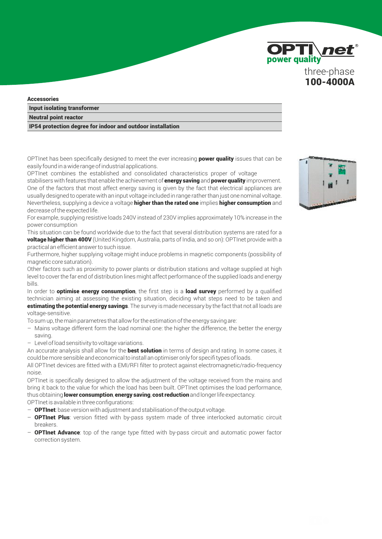

#### **Accessories**

Input isolating transformer

#### Neutral point reactor

IP54 protection degree for indoor and outdoor installation

OPTInet has been specifically designed to meet the ever increasing **power quality** issues that can be easily found in a wide range of industrial applications.

OPTInet combines the established and consolidated characteristics proper of voltage

stabilisers with features that enable the achievement of **energy saving** and **power quality** improvement. One of the factors that most affect energy saving is given by the fact that electrical appliances are usually designed to operate with an input voltage included in range rather than just one nominal voltage. Nevertheless, supplying a device a voltage **higher than the rated one** implies **higher consumption** and decrease of the expected life.

For example, supplying resistive loads 240V instead of 230V implies approximately 10% increase in the power consumption

This situation can be found worldwide due to the fact that several distribution systems are rated for a voltage higher than 400V (United Kingdom, Australia, parts of India, and so on): OPTInet provide with a practical an efficient answer to such issue.

Furthermore, higher supplying voltage might induce problems in magnetic components (possibility of magnetic core saturation).

Other factors such as proximity to power plants or distribution stations and voltage supplied at high level to cover the far end of distribution lines might affect performance of the supplied loads and energy bills.

In order to **optimise energy consumption**, the first step is a **load survey** performed by a qualified technician aiming at assessing the existing situation, deciding what steps need to be taken and estimating the potential energy savings. The survey is made necessary by the fact that not all loads are voltage-sensitive.

To sum up, the main parametres that allow for the estimation of the energy saving are:

- Mains voltage different form the load nominal one: the higher the difference, the better the energy saving.
- Level of load sensitivity to voltage variations.

An accurate analysis shall allow for the **best solution** in terms of design and rating. In some cases, it could be more sensible and economical to install an optimiser only for specifi types of loads.

All OPTInet devices are fitted with a EMI/RFI filter to protect against electromagnetic/radio-frequency noise.

OPTInet is specifically designed to allow the adjustment of the voltage received from the mains and bring it back to the value for which the load has been built. OPTInet optimises the load performance, thus obtaining lower consumption, energy saving, cost reduction and longer life expectancy.

OPTInet is available in three configurations:

- OPTInet: base version with adjustment and stabilisation of the output voltage.
- **OPTInet Plus:** version fitted with by-pass system made of three interlocked automatic circuit breakers.
- **OPTInet Advance**: top of the range type fitted with by-pass circuit and automatic power factor correction system.

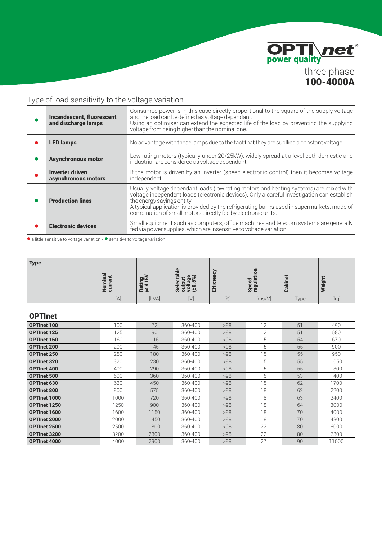

## Type of load sensitivity to the voltage variation

| <b>Incandescent, fluorescent</b><br>and discharge lamps | Consumed power is in this case directly proportional to the square of the supply voltage<br>and the load can be defined as voltage dependant.<br>Using an optimiser can extend the expected life of the load by preventing the supplying<br>voltage from being higher than the nominal one.                                                                                        |
|---------------------------------------------------------|------------------------------------------------------------------------------------------------------------------------------------------------------------------------------------------------------------------------------------------------------------------------------------------------------------------------------------------------------------------------------------|
| <b>LED lamps</b>                                        | No advantage with these lamps due to the fact that they are supllied a constant voltage.                                                                                                                                                                                                                                                                                           |
| <b>Asynchronous motor</b>                               | Low rating motors (typically under 20/25kW), widely spread at a level both domestic and<br>industrial, are considered as voltage dependant.                                                                                                                                                                                                                                        |
| <b>Inverter driven</b><br>asynchronous motors           | If the motor is driven by an inverter (speed electronic control) then it becomes voltage<br>independent.                                                                                                                                                                                                                                                                           |
| <b>Production lines</b>                                 | Usually, voltage dependant loads (low rating motors and heating systems) are mixed with<br>voltage independent loads (electronic devices). Only a careful investigation can establish<br>the energy savings entity.<br>A typical application is provided by the refrigerating banks used in supermarkets, made of<br>combination of small motors directly fed by electronic units. |
| <b>Electronic devices</b>                               | Small equipment such as computers, office machines and telecom systems are generally<br>fed via power supplies, which are insensitive to voltage variation.                                                                                                                                                                                                                        |

 $\bullet$  a little sensitive to voltage variation /  $\bullet$  sensitive to voltage variation

| <b>Type</b> | ≌<br>پ<br>.≒<br>-<br>È<br>등<br>ž ő | Rating<br>@ 415 | ω<br>$\overline{\mathfrak{a}}$<br>$\bullet$ $\bar{\circ}$<br><u>ּ ה</u><br>ਨ<br>$\frac{1}{5}$ $\frac{1}{5}$ $\frac{1}{5}$ $\frac{1}{5}$<br><u>se</u> | 孟<br>∸<br>cie<br><br>臣<br> | œ<br>5<br>w<br><b>GJ</b><br>Ð<br>န္တ ရွ | <b>A</b><br>- 17<br>ᄛ | ÷<br>eigh |
|-------------|------------------------------------|-----------------|------------------------------------------------------------------------------------------------------------------------------------------------------|----------------------------|-----------------------------------------|-----------------------|-----------|
|             | $[{\mathsf A}]$                    | [kVA]           | $[ \vee]$                                                                                                                                            | $\left[\%\right]$          | [ms/V]                                  | Type                  | [kg]      |

### OPTInet

| <b>OPTInet 100</b>  | 100  | 72   | 360-400 | >98 | 12 | 51 | 490   |
|---------------------|------|------|---------|-----|----|----|-------|
| <b>OPTInet 125</b>  | 125  | 90   | 360-400 | >98 | 12 | 51 | 580   |
| <b>OPTInet 160</b>  | 160  | 115  | 360-400 | >98 | 15 | 54 | 670   |
| <b>OPTInet 200</b>  | 200  | 145  | 360-400 | >98 | 15 | 55 | 900   |
| <b>OPTInet 250</b>  | 250  | 180  | 360-400 | >98 | 15 | 55 | 950   |
| <b>OPTInet 320</b>  | 320  | 230  | 360-400 | >98 | 15 | 55 | 1050  |
| <b>OPTInet 400</b>  | 400  | 290  | 360-400 | >98 | 15 | 55 | 1300  |
| <b>OPTInet 500</b>  | 500  | 360  | 360-400 | >98 | 15 | 53 | 1400  |
| <b>OPTInet 630</b>  | 630  | 450  | 360-400 | >98 | 15 | 62 | 1700  |
| <b>OPTInet 800</b>  | 800  | 575  | 360-400 | >98 | 18 | 62 | 2200  |
| <b>OPTInet 1000</b> | 1000 | 720  | 360-400 | >98 | 18 | 63 | 2400  |
| <b>OPTInet 1250</b> | 1250 | 900  | 360-400 | >98 | 18 | 64 | 3000  |
| <b>OPTInet 1600</b> | 1600 | 1150 | 360-400 | >98 | 18 | 70 | 4000  |
| <b>OPTInet 2000</b> | 2000 | 1450 | 360-400 | >98 | 18 | 70 | 4300  |
| <b>OPTInet 2500</b> | 2500 | 1800 | 360-400 | >98 | 22 | 80 | 6000  |
| <b>OPTInet 3200</b> | 3200 | 2300 | 360-400 | >98 | 22 | 80 | 7300  |
| <b>OPTInet 4000</b> | 4000 | 2900 | 360-400 | >98 | 27 | 90 | 11000 |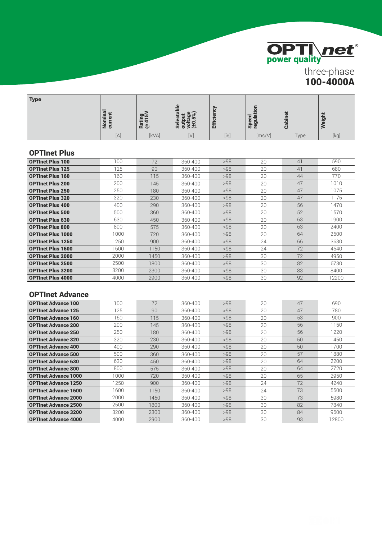

three-phase 100-4000A

| <b>Type</b> | ⊕ ⊶<br>٠≣<br>f1<br>zō | מוס<br>र्नु द | $\mathbf{d}$<br>$\sigma$<br>စ ွ<br>ទីខ្ល<br>Ŧ<br>αı<br>$\mathbf{d}$<br>ると<br><u>ဖ</u> စ် စ | る<br>ficien<br>뙤 | ÷<br>œ<br>$\bullet$<br>ω<br>$\mathbf{a}$<br>$\mathbf{\Omega}$<br>ທ ະ | مسترد<br>.≒ | eight |
|-------------|-----------------------|---------------|--------------------------------------------------------------------------------------------|------------------|----------------------------------------------------------------------|-------------|-------|
|             | $[{\mathsf A}]$       | [kVA]         | ΙVΙ                                                                                        | [%]              | [ms/V]                                                               | Type        | [kg]  |

### OPTInet Plus

| <b>OPTInet Plus 100</b>  | 100  | 72   | 360-400 | >98 | 20 | 41 | 590   |
|--------------------------|------|------|---------|-----|----|----|-------|
| <b>OPTInet Plus 125</b>  | 125  | 90   | 360-400 | >98 | 20 | 41 | 680   |
| <b>OPTInet Plus 160</b>  | 160  | 115  | 360-400 | >98 | 20 | 44 | 770   |
| <b>OPTInet Plus 200</b>  | 200  | 145  | 360-400 | >98 | 20 | 47 | 1010  |
| <b>OPTInet Plus 250</b>  | 250  | 180  | 360-400 | >98 | 20 | 47 | 1075  |
| <b>OPTInet Plus 320</b>  | 320  | 230  | 360-400 | >98 | 20 | 47 | 1175  |
| <b>OPTInet Plus 400</b>  | 400  | 290  | 360-400 | >98 | 20 | 56 | 1470  |
| <b>OPTInet Plus 500</b>  | 500  | 360  | 360-400 | >98 | 20 | 52 | 1570  |
| <b>OPTInet Plus 630</b>  | 630  | 450  | 360-400 | >98 | 20 | 63 | 1900  |
| <b>OPTInet Plus 800</b>  | 800  | 575  | 360-400 | >98 | 20 | 63 | 2400  |
| <b>OPTInet Plus 1000</b> | 1000 | 720  | 360-400 | >98 | 20 | 64 | 2600  |
| <b>OPTInet Plus 1250</b> | 1250 | 900  | 360-400 | >98 | 24 | 66 | 3630  |
| <b>OPTInet Plus 1600</b> | 1600 | 1150 | 360-400 | >98 | 24 | 72 | 4640  |
| <b>OPTInet Plus 2000</b> | 2000 | 1450 | 360-400 | >98 | 30 | 72 | 4950  |
| <b>OPTInet Plus 2500</b> | 2500 | 1800 | 360-400 | >98 | 30 | 82 | 6730  |
| <b>OPTInet Plus 3200</b> | 3200 | 2300 | 360-400 | >98 | 30 | 83 | 8400  |
| <b>OPTInet Plus 4000</b> | 4000 | 2900 | 360-400 | >98 | 30 | 92 | 12200 |

### OPTInet Advance

| <b>OPTInet Advance 100</b>  | 100  | 72   | 360-400 | >98 | 20 | 47 | 690   |
|-----------------------------|------|------|---------|-----|----|----|-------|
| <b>OPTInet Advance 125</b>  | 125  | 90   | 360-400 | >98 | 20 | 47 | 780   |
| <b>OPTInet Advance 160</b>  | 160  | 115  | 360-400 | >98 | 20 | 53 | 900   |
| <b>OPTInet Advance 200</b>  | 200  | 145  | 360-400 | >98 | 20 | 56 | 1150  |
| <b>OPTInet Advance 250</b>  | 250  | 180  | 360-400 | >98 | 20 | 56 | 1220  |
| <b>OPTInet Advance 320</b>  | 320  | 230  | 360-400 | >98 | 20 | 50 | 1450  |
| <b>OPTInet Advance 400</b>  | 400  | 290  | 360-400 | >98 | 20 | 50 | 1700  |
| <b>OPTInet Advance 500</b>  | 500  | 360  | 360-400 | >98 | 20 | 57 | 1880  |
| <b>OPTInet Advance 630</b>  | 630  | 450  | 360-400 | >98 | 20 | 64 | 2200  |
| <b>OPTInet Advance 800</b>  | 800  | 575  | 360-400 | >98 | 20 | 64 | 2720  |
| <b>OPTInet Advance 1000</b> | 1000 | 720  | 360-400 | >98 | 20 | 65 | 2950  |
| <b>OPTInet Advance 1250</b> | 1250 | 900  | 360-400 | >98 | 24 | 72 | 4240  |
| <b>OPTInet Advance 1600</b> | 1600 | 1150 | 360-400 | >98 | 24 | 73 | 5500  |
| <b>OPTInet Advance 2000</b> | 2000 | 1450 | 360-400 | >98 | 30 | 73 | 5980  |
| <b>OPTInet Advance 2500</b> | 2500 | 1800 | 360-400 | >98 | 30 | 82 | 7840  |
| <b>OPTInet Advance 3200</b> | 3200 | 2300 | 360-400 | >98 | 30 | 84 | 9600  |
| <b>OPTInet Advance 4000</b> | 4000 | 2900 | 360-400 | >98 | 30 | 93 | 12800 |
|                             |      |      |         |     |    |    |       |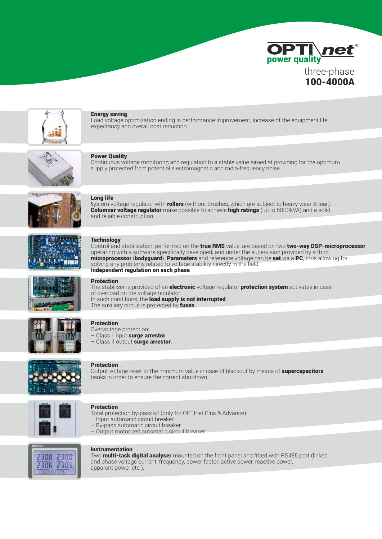



### Energy saving

Load voltage optimization ending in performance improvement, increase of the equipment life expectancy and overall cost reduction.



### Power Quality

Continuous voltage monitoring and regulation to a stable value aimed at providing for the optimum supply protected from potential electromagnetic and radio-frequency noise.



### Long life

System voltage regulator with **rollers** (without brushes, which are subject to heavy wear & tear). Columnar voltage regulator make possible to achieve high ratings (up to 6000kVA) and a solid and reliable construction



### **Technology**

Control and stabilisation, performed on the true RMS value, are based on two two-way DSP-microprocessor operating with a software specifically developed, and under the supervision provided by a third microprocessor (bodyguard). Parameters and reference voltage can be set via a PC, thus allowing for solving any problems related to voltage stability directly in the field. Independent regulation on each phase.



#### Protection

The stabiliser is provided of an **electronic** voltage regulator **protection system** activates in case of overload on the voltage regulator. In such conditions, the load supply is not interrupted. The auxiliary circuit is protected by fuses.



### Protection

Overvoltage protection: Class I input surge arrestor. – Class II output surge arrestor.



#### **Protection**

Output voltage reset to the minimum value in case of blackout by means of **supercapacitors** banks in order to ensure the correct shutdown.



#### Protection

- Total protection by-pass kit (only for OPTInet Plus & Advance):
- Input automatic circuit breaker
- By-pass automatic circuit breaker
- Output motorized automatic circuit breaker



### Instrumentation

Two **multi-task digital analyser** mounted on the front panel and fitted with RS485 port (linked and phase voltage current, frequency, power factor, active power, reactive power, apparent power etc.).